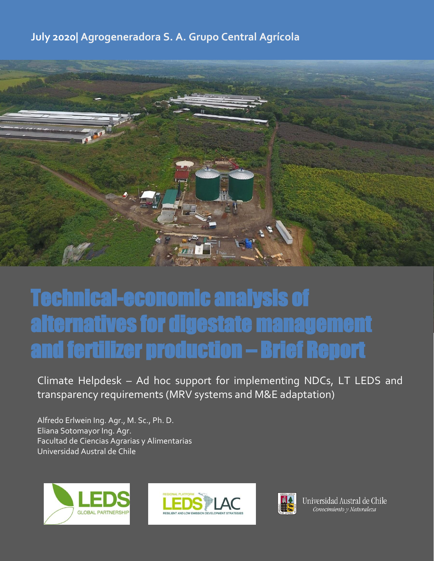# **July 2020| Agrogeneradora S. A. Grupo Central Agrícola**



# Technical-economic analysis of alternatives for digestate management and fertilizer production – Brief Report

Climate Helpdesk – Ad hoc support for implementing NDCs, LT LEDS and transparency requirements (MRV systems and M&E adaptation)

Alfredo Erlwein Ing. Agr., M. Sc., Ph. D. Eliana Sotomayor Ing. Agr. Facultad de Ciencias Agrarias y Alimentarias Universidad Austral de Chile







Universidad Austral de Chile Conocimiento y Naturaleza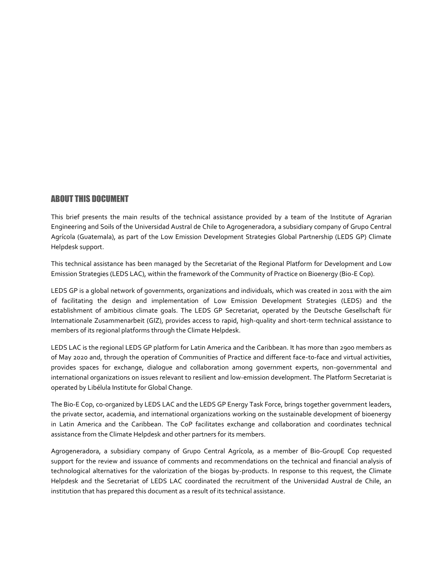# ABOUT THIS DOCUMENT

This brief presents the main results of the technical assistance provided by a team of the Institute of Agrarian Engineering and Soils of the Universidad Austral de Chile to Agrogeneradora, a subsidiary company of Grupo Central Agrícola (Guatemala), as part of the Low Emission Development Strategies Global Partnership (LEDS GP) Climate Helpdesk support.

This technical assistance has been managed by the Secretariat of the Regional Platform for Development and Low Emission Strategies (LEDS LAC), within the framework of the Community of Practice on Bioenergy (Bio-E Cop).

LEDS GP is a global network of governments, organizations and individuals, which was created in 2011 with the aim of facilitating the design and implementation of Low Emission Development Strategies (LEDS) and the establishment of ambitious climate goals. The LEDS GP Secretariat, operated by the Deutsche Gesellschaft für Internationale Zusammenarbeit (GIZ), provides access to rapid, high-quality and short-term technical assistance to members of its regional platforms through the Climate Helpdesk.

LEDS LAC is the regional LEDS GP platform for Latin America and the Caribbean. It has more than 2900 members as of May 2020 and, through the operation of Communities of Practice and different face-to-face and virtual activities, provides spaces for exchange, dialogue and collaboration among government experts, non-governmental and international organizations on issues relevant to resilient and low-emission development. The Platform Secretariat is operated by Libélula Institute for Global Change.

The Bio-E Cop, co-organized by LEDS LAC and the LEDS GP Energy Task Force, brings together government leaders, the private sector, academia, and international organizations working on the sustainable development of bioenergy in Latin America and the Caribbean. The CoP facilitates exchange and collaboration and coordinates technical assistance from the Climate Helpdesk and other partners for its members.

Agrogeneradora, a subsidiary company of Grupo Central Agrícola, as a member of Bio-GroupE Cop requested support for the review and issuance of comments and recommendations on the technical and financial analysis of technological alternatives for the valorization of the biogas by-products. In response to this request, the Climate Helpdesk and the Secretariat of LEDS LAC coordinated the recruitment of the Universidad Austral de Chile, an institution that has prepared this document as a result of its technical assistance.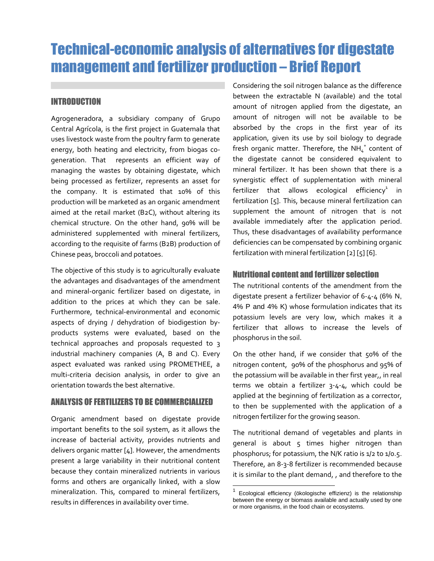# Technical-economic analysis of alternatives for digestate management and fertilizer production – Brief Report

# INTRODUCTION

Agrogeneradora, a subsidiary company of Grupo Central Agrícola, is the first project in Guatemala that uses livestock waste from the poultry farm to generate energy, both heating and electricity, from biogas cogeneration. That represents an efficient way of managing the wastes by obtaining digestate, which being processed as fertilizer, represents an asset for the company. It is estimated that 10% of this production will be marketed as an organic amendment aimed at the retail market (B2C), without altering its chemical structure. On the other hand, 90% will be administered supplemented with mineral fertilizers, according to the requisite of farms (B2B) production of Chinese peas, broccoli and potatoes.

The objective of this study is to agriculturally evaluate the advantages and disadvantages of the amendment and mineral-organic fertilizer based on digestate, in addition to the prices at which they can be sale. Furthermore, technical-environmental and economic aspects of drying / dehydration of biodigestion byproducts systems were evaluated, based on the technical approaches and proposals requested to 3 industrial machinery companies (A, B and C). Every aspect evaluated was ranked using PROMETHEE, a multi-criteria decision analysis, in order to give an orientation towards the best alternative.

# ANALYSIS OF FERTILIZERS TO BE COMMERCIALIZED

Organic amendment based on digestate provide important benefits to the soil system, as it allows the increase of bacterial activity, provides nutrients and delivers organic matter [4]. However, the amendments present a large variability in their nutritional content because they contain mineralized nutrients in various forms and others are organically linked, with a slow mineralization. This, compared to mineral fertilizers, results in differences in availability over time.

Considering the soil nitrogen balance as the difference between the extractable N (available) and the total amount of nitrogen applied from the digestate, an amount of nitrogen will not be available to be absorbed by the crops in the first year of its application, given its use by soil biology to degrade fresh organic matter. Therefore, the NH $_4^+$  content of the digestate cannot be considered equivalent to mineral fertilizer. It has been shown that there is a synergistic effect of supplementation with mineral fertilizer that allows ecological efficiency $^1$  in fertilization [5]. This, because mineral fertilization can supplement the amount of nitrogen that is not available immediately after the application period. Thus, these disadvantages of availability performance deficiencies can be compensated by combining organic fertilization with mineral fertilization [2] [5] [6].

# Nutritional content and fertilizer selection

The nutritional contents of the amendment from the digestate present a fertilizer behavior of 6-4-4 (6% N, 4% P and 4% K) whose formulation indicates that its potassium levels are very low, which makes it a fertilizer that allows to increase the levels of phosphorus in the soil.

On the other hand, if we consider that 50% of the nitrogen content, 90% of the phosphorus and 95% of the potassium will be available in ther first year,, in real terms we obtain a fertilizer 3-4-4, which could be applied at the beginning of fertilization as a corrector, to then be supplemented with the application of a nitrogen fertilizer for the growing season.

The nutritional demand of vegetables and plants in general is about 5 times higher nitrogen than phosphorus; for potassium, the N/K ratio is 1/2 to 1/0.5. Therefore, an 8-3-8 fertilizer is recommended because it is similar to the plant demand, , and therefore to the

l

<sup>1</sup> Ecological efficiency (ökologische effizienz) is the relationship between the energy or biomass available and actually used by one or more organisms, in the food chain or ecosystems.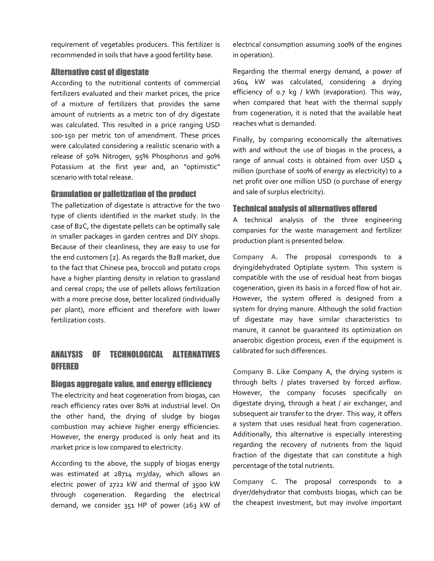requirement of vegetables producers. This fertilizer is recommended in soils that have a good fertility base.

## Alternative cost of digestate

According to the nutritional contents of commercial fertilizers evaluated and their market prices, the price of a mixture of fertilizers that provides the same amount of nutrients as a metric ton of dry digestate was calculated. This resulted in a price ranging USD 100-150 per metric ton of amendment. These prices were calculated considering a realistic scenario with a release of 50% Nitrogen, 95% Phosphorus and 90% Potassium at the first year and, an "optimistic" scenario with total release.

# Granulation or palletization of the product

The palletization of digestate is attractive for the two type of clients identified in the market study. In the case of B2C, the digestate pellets can be optimally sale in smaller packages in garden centres and DIY shops. Because of their cleanliness, they are easy to use for the end customers [2]. As regards the B2B market, due to the fact that Chinese pea, broccoli and potato crops have a higher planting density in relation to grassland and cereal crops; the use of pellets allows fertilization with a more precise dose, better localized (individually per plant), more efficient and therefore with lower fertilization costs.

# ANALYSIS OF TECHNOLOGICAL ALTERNATIVES **OFFERED**

# Biogas aggregate value, and energy efficiency

The electricity and heat cogeneration from biogas, can reach efficiency rates over 80% at industrial level. On the other hand, the drying of sludge by biogas combustion may achieve higher energy efficiencies. However, the energy produced is only heat and its market price is low compared to electricity.

According to the above, the supply of biogas energy was estimated at 28714 m3/day, which allows an electric power of 2722 kW and thermal of 3500 kW through cogeneration. Regarding the electrical demand, we consider 351 HP of power (263 kW of electrical consumption assuming 100% of the engines in operation).

Regarding the thermal energy demand, a power of 2604 kW was calculated, considering a drying efficiency of 0.7 kg / kWh (evaporation). This way, when compared that heat with the thermal supply from cogeneration, it is noted that the available heat reaches what is demanded.

Finally, by comparing economically the alternatives with and without the use of biogas in the process, a range of annual costs is obtained from over USD 4 million (purchase of 100% of energy as electricity) to a net profit over one million USD (0 purchase of energy and sale of surplus electricity).

# Technical analysis of alternatives offered

A technical analysis of the three engineering companies for the waste management and fertilizer production plant is presented below.

**Company A.** The proposal corresponds to a drying/dehydrated Optiplate system. This system is compatible with the use of residual heat from biogas cogeneration, given its basis in a forced flow of hot air. However, the system offered is designed from a system for drying manure. Although the solid fraction of digestate may have similar characteristics to manure, it cannot be guaranteed its optimization on anaerobic digestion process, even if the equipment is calibrated for such differences.

**Company B.** Like Company A, the drying system is through belts / plates traversed by forced airflow. However, the company focuses specifically on digestate drying, through a heat / air exchanger, and subsequent air transfer to the dryer. This way, it offers a system that uses residual heat from cogeneration. Additionally, this alternative is especially interesting regarding the recovery of nutrients from the liquid fraction of the digestate that can constitute a high percentage of the total nutrients.

**Company C.** The proposal corresponds to a dryer/dehydrator that combusts biogas, which can be the cheapest investment, but may involve important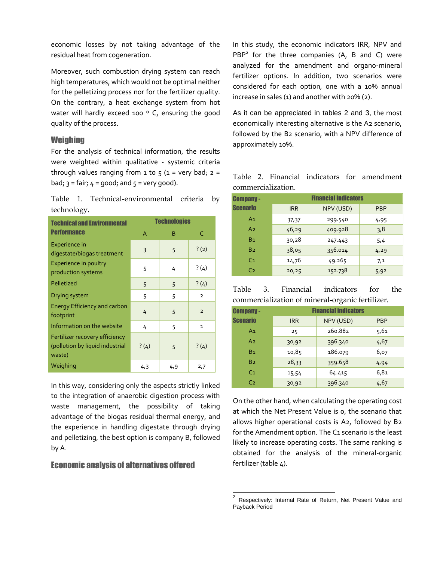economic losses by not taking advantage of the residual heat from cogeneration.

Moreover, such combustion drying system can reach high temperatures, which would not be optimal neither for the pelletizing process nor for the fertilizer quality. On the contrary, a heat exchange system from hot water will hardly exceed 100 ° C, ensuring the good quality of the process.

#### **Weighing**

For the analysis of technical information, the results were weighted within qualitative - systemic criteria through values ranging from  $1$  to  $5$  ( $1$  = very bad;  $2$  = bad;  $3 = \text{fair}$ ;  $4 = \text{good}$ ; and  $5 = \text{very good}$ ).

Table 1. Technical-environmental criteria by technology.

| <b>Technical and Environmental</b>                                          | <b>Technologies</b> |     |                |
|-----------------------------------------------------------------------------|---------------------|-----|----------------|
| <b>Performance</b>                                                          | A                   | B   | C              |
| Experience in<br>digestate/biogas treatment                                 | 3                   | 5   | ?(2)           |
| <b>Experience in poultry</b><br>production systems                          | 5                   | 4   | ?(4)           |
| Pelletized                                                                  | 5                   | 5   | ?(4)           |
| Drying system                                                               | 5                   | 5   | $\overline{2}$ |
| <b>Energy Efficiency and carbon</b><br>footprint                            | 4                   | 5   | $\overline{2}$ |
| Information on the website                                                  | 4                   | 5   | $\mathbf{1}$   |
| Fertilizer recovery efficiency<br>(pollution by liquid industrial<br>waste) | ?(4)                | 5   | ?(4)           |
| Weighing                                                                    | 4,3                 | 4,9 | 2,7            |

In this way, considering only the aspects strictly linked to the integration of anaerobic digestion process with waste management, the possibility of taking advantage of the biogas residual thermal energy, and the experience in handling digestate through drying and pelletizing, the best option is company B, followed by A.

# Economic analysis of alternatives offered

In this study, the economic indicators IRR, NPV and PBP<sup>2</sup> for the three companies  $(A, B, and C)$  were analyzed for the amendment and organo-mineral fertilizer options. In addition, two scenarios were considered for each option, one with a 10% annual increase in sales (1) and another with 20% (2).

As it can be appreciated in tables 2 and 3, the most economically interesting alternative is the A2 scenario, followed by the B2 scenario, with a NPV difference of approximately 10%.

| Einonojal indioatove<br>$n_{\rm mass}$ |  |                    |  |                                             |
|----------------------------------------|--|--------------------|--|---------------------------------------------|
|                                        |  | commercialization. |  |                                             |
|                                        |  |                    |  | Table 2. Financial indicators for amendment |

| <b>Company -</b> | <b>Financial indicators</b> |           |            |
|------------------|-----------------------------|-----------|------------|
| <b>Scenario</b>  | <b>IRR</b>                  | NPV (USD) | <b>PBP</b> |
| A1               | 37,37                       | 299.540   | 4,95       |
| A <sub>2</sub>   | 46,29                       | 409.928   | 3,8        |
| B <sub>1</sub>   | 30,28                       | 247.443   | 5,4        |
| B <sub>2</sub>   | 38,05                       | 356.014   | 4,29       |
| C <sub>1</sub>   | 14,76                       | 49.265    | 7,1        |
| C <sub>2</sub>   | 20,25                       | 152.738   | 5,92       |

|  | Table 3. Financial indicators for the            |  |
|--|--------------------------------------------------|--|
|  | commercialization of mineral-organic fertilizer. |  |

| <b>Company -</b> | <b>Financial indicators</b> |           |            |
|------------------|-----------------------------|-----------|------------|
| Scenario         | <b>IRR</b>                  | NPV (USD) | <b>PBP</b> |
| A1               | 25                          | 260.882   | 5,61       |
| A <sub>2</sub>   | 30,92                       | 396.340   | 4,67       |
| B <sub>1</sub>   | 10,85                       | 186.079   | 6,07       |
| B <sub>2</sub>   | 28,33                       | 359.658   | 4,94       |
| C <sub>1</sub>   | 15,54                       | 64.415    | 6,81       |
| C <sub>2</sub>   | 30,92                       | 396.340   | 4,67       |

On the other hand, when calculating the operating cost at which the Net Present Value is 0, the scenario that allows higher operational costs is A2, followed by B2 for the Amendment option. The C1 scenario is the least likely to increase operating costs. The same ranking is obtained for the analysis of the mineral-organic fertilizer (table 4).

 $\overline{a}$ 

<sup>2</sup> Respectively: Internal Rate of Return, Net Present Value and Payback Period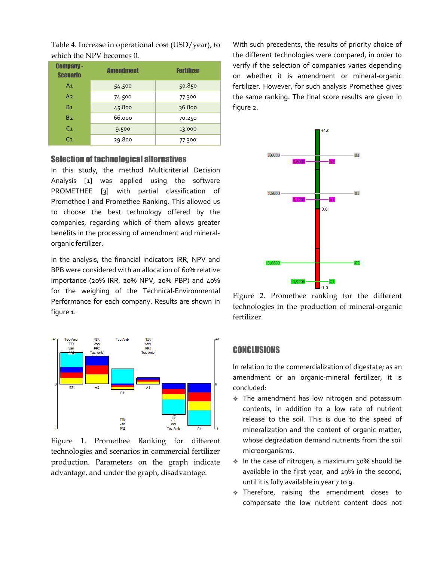| <b>Company-</b><br><b>Scenario</b> | <b>Amendment</b> | <b>Fertilizer</b> |
|------------------------------------|------------------|-------------------|
| A <sub>1</sub>                     | 54.500           | 50.850            |
| A <sub>2</sub>                     | 74.500           | 77.300            |
| B <sub>1</sub>                     | 45.800           | 36.800            |
| B <sub>2</sub>                     | 66.000           | 70.250            |
| C <sub>1</sub>                     | 9.500            | 13.000            |
| C <sub>2</sub>                     | 29.800           | 77.300            |

Table 4. Increase in operational cost (USD/year), to which the NPV becomes 0.

## Selection of technological alternatives

In this study, the method Multicriterial Decision Analysis [1] was applied using the software PROMETHEE [3] with partial classification of Promethee I and Promethee Ranking. This allowed us to choose the best technology offered by the companies, regarding which of them allows greater benefits in the processing of amendment and mineralorganic fertilizer.

In the analysis, the financial indicators IRR, NPV and BPB were considered with an allocation of 60% relative importance (20% IRR, 20% NPV, 20% PBP) and 40% for the weighing of the Technical-Environmental Performance for each company. Results are shown in figure 1.



Figure 1. Promethee Ranking for different technologies and scenarios in commercial fertilizer production. Parameters on the graph indicate advantage, and under the graph, disadvantage.

With such precedents, the results of priority choice of the different technologies were compared, in order to verify if the selection of companies varies depending on whether it is amendment or mineral-organic fertilizer. However, for such analysis Promethee gives the same ranking. The final score results are given in figure 2.



Figure 2. Promethee ranking for the different technologies in the production of mineral-organic fertilizer.

# **CONCLUSIONS**

In relation to the commercialization of digestate; as an amendment or an organic-mineral fertilizer, it is concluded:

- The amendment has low nitrogen and potassium contents, in addition to a low rate of nutrient release to the soil. This is due to the speed of mineralization and the content of organic matter, whose degradation demand nutrients from the soil microorganisms.
- ◆ In the case of nitrogen, a maximum 50% should be available in the first year, and 19% in the second, until it is fully available in year 7 to 9.
- Therefore, raising the amendment doses to compensate the low nutrient content does not